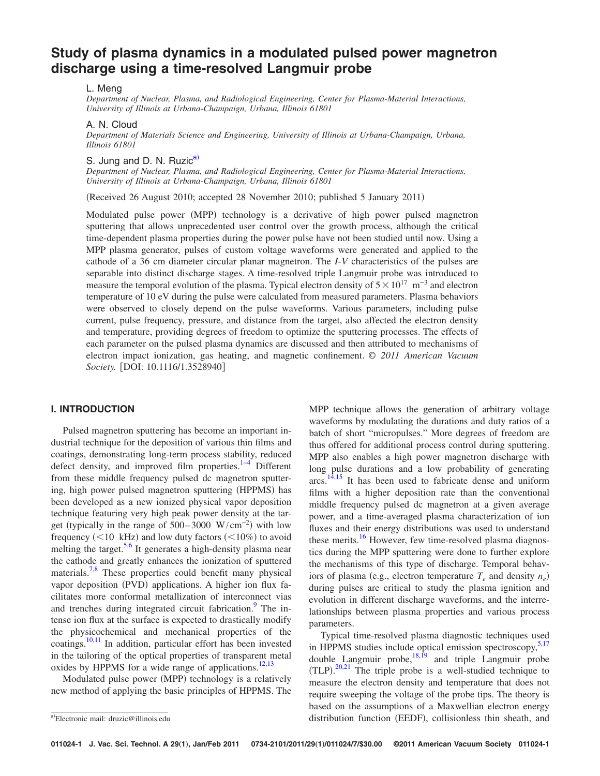# **Study of plasma dynamics in a modulated pulsed power magnetron discharge using a time-resolved Langmuir probe**

## L. Meng

*Department of Nuclear, Plasma, and Radiological Engineering, Center for Plasma-Material Interactions, University of Illinois at Urbana-Champaign, Urbana, Illinois 61801*

A. N. Cloud

*Department of Materials Science and Engineering, University of Illinois at Urbana-Champaign, Urbana, Illinois 61801*

S. Jung and D. N. Ruzic<sup>a)</sup>

*Department of Nuclear, Plasma, and Radiological Engineering, Center for Plasma-Material Interactions, University of Illinois at Urbana-Champaign, Urbana, Illinois 61801*

(Received 26 August 2010; accepted 28 November 2010; published 5 January 2011)

Modulated pulse power (MPP) technology is a derivative of high power pulsed magnetron sputtering that allows unprecedented user control over the growth process, although the critical time-dependent plasma properties during the power pulse have not been studied until now. Using a MPP plasma generator, pulses of custom voltage waveforms were generated and applied to the cathode of a 36 cm diameter circular planar magnetron. The *I*-*V* characteristics of the pulses are separable into distinct discharge stages. A time-resolved triple Langmuir probe was introduced to measure the temporal evolution of the plasma. Typical electron density of  $5 \times 10^{17}$  m<sup>-3</sup> and electron temperature of 10 eV during the pulse were calculated from measured parameters. Plasma behaviors were observed to closely depend on the pulse waveforms. Various parameters, including pulse current, pulse frequency, pressure, and distance from the target, also affected the electron density and temperature, providing degrees of freedom to optimize the sputtering processes. The effects of each parameter on the pulsed plasma dynamics are discussed and then attributed to mechanisms of electron impact ionization, gas heating, and magnetic confinement. *© 2011 American Vacuum Society.* [DOI: 10.1116/1.3528940]

# **I. INTRODUCTION**

Pulsed magnetron sputtering has become an important industrial technique for the deposition of various thin films and coatings, demonstrating long-term process stability, reduced defect density, and improved film properties. $1-4$  Different from these middle frequency pulsed dc magnetron sputtering, high power pulsed magnetron sputtering (HPPMS) has been developed as a new ionized physical vapor deposition technique featuring very high peak power density at the target (typically in the range of  $500-3000 \ \text{W/cm}^{-2}$ ) with low frequency  $(<10 \text{ kHz})$  and low duty factors  $(<10\%)$  to avoid melting the target.<sup>5[,6](#page-6-3)</sup> It generates a high-density plasma near the cathode and greatly enhances the ionization of sputtered materials.<sup>7,[8](#page-6-5)</sup> These properties could benefit many physical vapor deposition (PVD) applications. A higher ion flux facilitates more conformal metallization of interconnect vias and trenches during integrated circuit fabrication.<sup>9</sup> The intense ion flux at the surface is expected to drastically modify the physicochemical and mechanical properties of the coatings.<sup>10,[11](#page-6-8)</sup> In addition, particular effort has been invested in the tailoring of the optical properties of transparent metal oxides by HPPMS for a wide range of applications.<sup>12,[13](#page-6-10)</sup>

Modulated pulse power (MPP) technology is a relatively new method of applying the basic principles of HPPMS. The MPP technique allows the generation of arbitrary voltage waveforms by modulating the durations and duty ratios of a batch of short "micropulses." More degrees of freedom are thus offered for additional process control during sputtering. MPP also enables a high power magnetron discharge with long pulse durations and a low probability of generating arcs.<sup>[14,](#page-6-11)[15](#page-6-12)</sup> It has been used to fabricate dense and uniform films with a higher deposition rate than the conventional middle frequency pulsed dc magnetron at a given average power, and a time-averaged plasma characterization of ion fluxes and their energy distributions was used to understand these merits.<sup>16</sup> However, few time-resolved plasma diagnostics during the MPP sputtering were done to further explore the mechanisms of this type of discharge. Temporal behaviors of plasma (e.g., electron temperature  $T_e$  and density  $n_e$ ) during pulses are critical to study the plasma ignition and evolution in different discharge waveforms, and the interrelationships between plasma properties and various process parameters.

Typical time-resolved plasma diagnostic techniques used in HPPMS studies include optical emission spectroscopy,<sup>5[,17](#page-6-14)</sup> double Langmuir probe,  $^{18,19}$  $^{18,19}$  $^{18,19}$  and triple Langmuir probe  $(TLP)$ . <sup>[20](#page-6-17)[,21](#page-6-18)</sup> The triple probe is a well-studied technique to measure the electron density and temperature that does not require sweeping the voltage of the probe tips. The theory is based on the assumptions of a Maxwellian electron energy a)Electronic mail: druzic@illinois.edu distribution function (EEDF), collisionless thin sheath, and

<span id="page-0-0"></span>Electronic mail: druzic@illinois.edu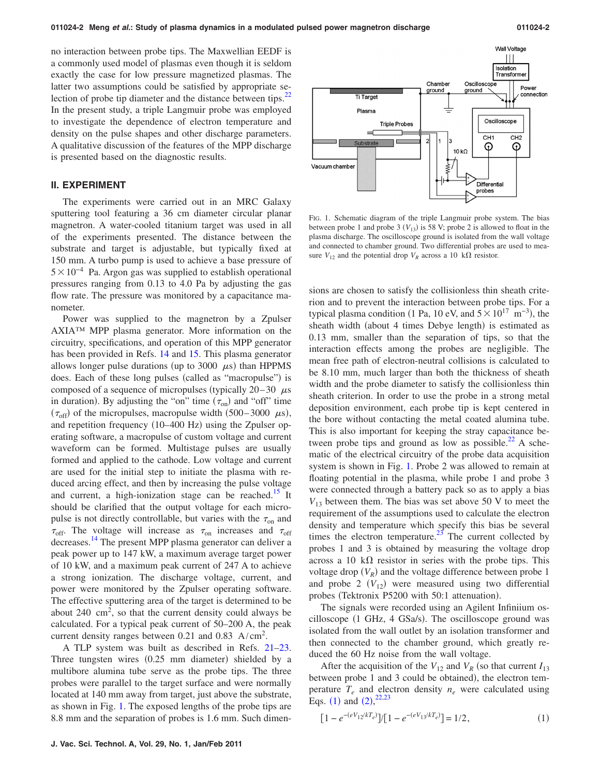no interaction between probe tips. The Maxwellian EEDF is a commonly used model of plasmas even though it is seldom exactly the case for low pressure magnetized plasmas. The latter two assumptions could be satisfied by appropriate selection of probe tip diameter and the distance between tips. $^{22}$ In the present study, a triple Langmuir probe was employed to investigate the dependence of electron temperature and density on the pulse shapes and other discharge parameters. A qualitative discussion of the features of the MPP discharge is presented based on the diagnostic results.

# **II. EXPERIMENT**

The experiments were carried out in an MRC Galaxy sputtering tool featuring a 36 cm diameter circular planar magnetron. A water-cooled titanium target was used in all of the experiments presented. The distance between the substrate and target is adjustable, but typically fixed at 150 mm. A turbo pump is used to achieve a base pressure of  $5 \times 10^{-4}$  Pa. Argon gas was supplied to establish operational pressures ranging from 0.13 to 4.0 Pa by adjusting the gas flow rate. The pressure was monitored by a capacitance manometer.

Power was supplied to the magnetron by a Zpulser AXIA™ MPP plasma generator. More information on the circuitry, specifications, and operation of this MPP generator has been provided in Refs. [14](#page-6-11) and [15.](#page-6-12) This plasma generator allows longer pulse durations (up to 3000  $\mu$ s) than HPPMS does. Each of these long pulses (called as "macropulse") is composed of a sequence of micropulses (typically  $20-30$   $\mu$ s in duration). By adjusting the "on" time  $(\tau_{on})$  and "off" time  $(\tau_{\text{off}})$  of the micropulses, macropulse width  $(500-3000 \mu s)$ , and repetition frequency (10-400 Hz) using the Zpulser operating software, a macropulse of custom voltage and current waveform can be formed. Multistage pulses are usually formed and applied to the cathode. Low voltage and current are used for the initial step to initiate the plasma with reduced arcing effect, and then by increasing the pulse voltage and current, a high-ionization stage can be reached.<sup>15</sup> It should be clarified that the output voltage for each micropulse is not directly controllable, but varies with the  $\tau_{on}$  and  $\tau_{\rm off}$ . The voltage will increase as  $\tau_{\rm on}$  increases and  $\tau_{\rm off}$ decreases[.14](#page-6-11) The present MPP plasma generator can deliver a peak power up to 147 kW, a maximum average target power of 10 kW, and a maximum peak current of 247 A to achieve a strong ionization. The discharge voltage, current, and power were monitored by the Zpulser operating software. The effective sputtering area of the target is determined to be about  $240 \text{ cm}^2$ , so that the current density could always be calculated. For a typical peak current of 50–200 A, the peak current density ranges between 0.21 and 0.83  $A/cm<sup>2</sup>$ .

A TLP system was built as described in Refs. [21](#page-6-18)[–23.](#page-6-20) Three tungsten wires (0.25 mm diameter) shielded by a multibore alumina tube serve as the probe tips. The three probes were parallel to the target surface and were normally located at 140 mm away from target, just above the substrate, as shown in Fig. [1.](#page-1-0) The exposed lengths of the probe tips are 8.8 mm and the separation of probes is 1.6 mm. Such dimen-

<span id="page-1-0"></span>

FIG. 1. Schematic diagram of the triple Langmuir probe system. The bias between probe 1 and probe 3  $(V_{13})$  is 58 V; probe 2 is allowed to float in the plasma discharge. The oscilloscope ground is isolated from the wall voltage and connected to chamber ground. Two differential probes are used to measure  $V_{12}$  and the potential drop  $V_R$  across a 10 k $\Omega$  resistor.

sions are chosen to satisfy the collisionless thin sheath criterion and to prevent the interaction between probe tips. For a typical plasma condition (1 Pa, 10 eV, and  $5 \times 10^{17}$  m<sup>-3</sup>), the sheath width (about 4 times Debye length) is estimated as 0.13 mm, smaller than the separation of tips, so that the interaction effects among the probes are negligible. The mean free path of electron-neutral collisions is calculated to be 8.10 mm, much larger than both the thickness of sheath width and the probe diameter to satisfy the collisionless thin sheath criterion. In order to use the probe in a strong metal deposition environment, each probe tip is kept centered in the bore without contacting the metal coated alumina tube. This is also important for keeping the stray capacitance between probe tips and ground as low as possible.<sup>22</sup> A schematic of the electrical circuitry of the probe data acquisition system is shown in Fig. [1.](#page-1-0) Probe 2 was allowed to remain at floating potential in the plasma, while probe 1 and probe 3 were connected through a battery pack so as to apply a bias  $V_{13}$  between them. The bias was set above 50 V to meet the requirement of the assumptions used to calculate the electron density and temperature which specify this bias be several times the electron temperature.<sup>23</sup> The current collected by probes 1 and 3 is obtained by measuring the voltage drop across a 10 k $\Omega$  resistor in series with the probe tips. This voltage drop  $(V_R)$  and the voltage difference between probe 1 and probe 2  $(V_{12})$  were measured using two differential probes (Tektronix P5200 with 50:1 attenuation).

The signals were recorded using an Agilent Infiniium oscilloscope (1 GHz, 4 GSa/s). The oscilloscope ground was isolated from the wall outlet by an isolation transformer and then connected to the chamber ground, which greatly reduced the 60 Hz noise from the wall voltage.

After the acquisition of the  $V_{12}$  and  $V_R$  (so that current  $I_{13}$ between probe 1 and 3 could be obtained), the electron temperature  $T_e$  and electron density  $n_e$  were calculated using Eqs. ([1](#page-1-1)) and  $(2)$  $(2)$  $(2)$ ,  $^{22,23}$  $^{22,23}$  $^{22,23}$  $^{22,23}$ 

<span id="page-1-1"></span>
$$
[1 - e^{-(eV_{12}/kT_e)}]/[1 - e^{-(eV_{13}/kT_e)}] = 1/2, \qquad (1)
$$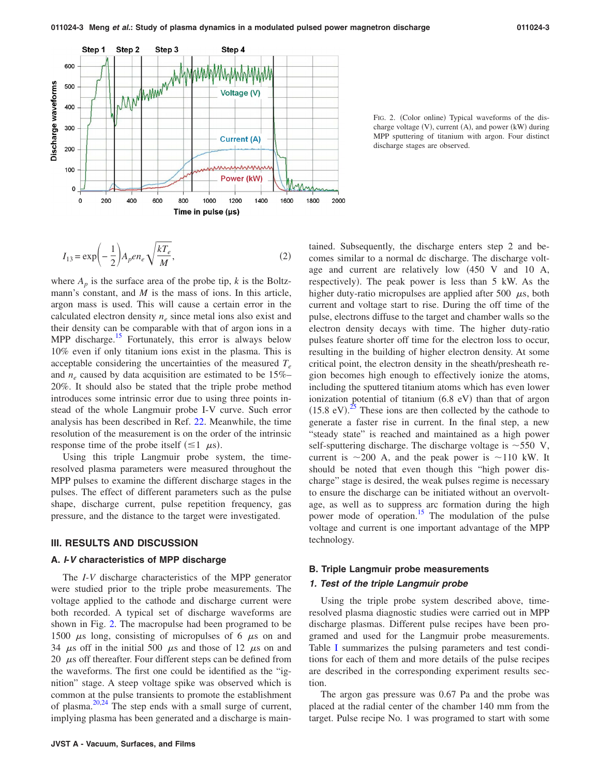<span id="page-2-1"></span>

FIG. 2. (Color online) Typical waveforms of the discharge voltage (V), current (A), and power (kW) during MPP sputtering of titanium with argon. Four distinct discharge stages are observed.

<span id="page-2-0"></span>
$$
I_{13} = \exp\left(-\frac{1}{2}\right) A_p e n_e \sqrt{\frac{kT_e}{M}},
$$
\n(2)

where  $A_p$  is the surface area of the probe tip,  $k$  is the Boltzmann's constant, and *M* is the mass of ions. In this article, argon mass is used. This will cause a certain error in the calculated electron density  $n_e$  since metal ions also exist and their density can be comparable with that of argon ions in a MPP discharge.<sup>15</sup> Fortunately, this error is always below 10% even if only titanium ions exist in the plasma. This is acceptable considering the uncertainties of the measured  $T_e$ and *n<sub>e</sub>* caused by data acquisition are estimated to be 15%– 20%. It should also be stated that the triple probe method introduces some intrinsic error due to using three points instead of the whole Langmuir probe I-V curve. Such error analysis has been described in Ref. [22.](#page-6-19) Meanwhile, the time resolution of the measurement is on the order of the intrinsic response time of the probe itself  $(\leq 1 \mu s)$ .

Using this triple Langmuir probe system, the timeresolved plasma parameters were measured throughout the MPP pulses to examine the different discharge stages in the pulses. The effect of different parameters such as the pulse shape, discharge current, pulse repetition frequency, gas pressure, and the distance to the target were investigated.

#### **III. RESULTS AND DISCUSSION**

#### **A.** *I***-***V* **characteristics of MPP discharge**

The *I*-*V* discharge characteristics of the MPP generator were studied prior to the triple probe measurements. The voltage applied to the cathode and discharge current were both recorded. A typical set of discharge waveforms are shown in Fig. [2.](#page-2-1) The macropulse had been programed to be 1500  $\mu$ s long, consisting of micropulses of 6  $\mu$ s on and 34  $\mu$ s off in the initial 500  $\mu$ s and those of 12  $\mu$ s on and 20  $\mu$ s off thereafter. Four different steps can be defined from the waveforms. The first one could be identified as the "ignition" stage. A steep voltage spike was observed which is common at the pulse transients to promote the establishment of plasma. $20,24$  $20,24$  The step ends with a small surge of current, implying plasma has been generated and a discharge is maincomes similar to a normal dc discharge. The discharge voltage and current are relatively low 450 V and 10 A, respectively). The peak power is less than 5 kW. As the higher duty-ratio micropulses are applied after 500  $\mu$ s, both current and voltage start to rise. During the off time of the pulse, electrons diffuse to the target and chamber walls so the electron density decays with time. The higher duty-ratio pulses feature shorter off time for the electron loss to occur, resulting in the building of higher electron density. At some critical point, the electron density in the sheath/presheath region becomes high enough to effectively ionize the atoms, including the sputtered titanium atoms which has even lower ionization potential of titanium (6.8 eV) than that of argon  $(15.8 \text{ eV})^{25}$  $(15.8 \text{ eV})^{25}$  $(15.8 \text{ eV})^{25}$  These ions are then collected by the cathode to generate a faster rise in current. In the final step, a new "steady state" is reached and maintained as a high power self-sputtering discharge. The discharge voltage is  $\sim$  550 V, current is  $\sim$ 200 A, and the peak power is  $\sim$ 110 kW. It should be noted that even though this "high power discharge" stage is desired, the weak pulses regime is necessary to ensure the discharge can be initiated without an overvoltage, as well as to suppress arc formation during the high power mode of operation.<sup>15</sup> The modulation of the pulse voltage and current is one important advantage of the MPP technology.

tained. Subsequently, the discharge enters step 2 and be-

## **B. Triple Langmuir probe measurements**

## *1. Test of the triple Langmuir probe*

Using the triple probe system described above, timeresolved plasma diagnostic studies were carried out in MPP discharge plasmas. Different pulse recipes have been programed and used for the Langmuir probe measurements. Table [I](#page-3-0) summarizes the pulsing parameters and test conditions for each of them and more details of the pulse recipes are described in the corresponding experiment results section.

The argon gas pressure was 0.67 Pa and the probe was placed at the radial center of the chamber 140 mm from the target. Pulse recipe No. 1 was programed to start with some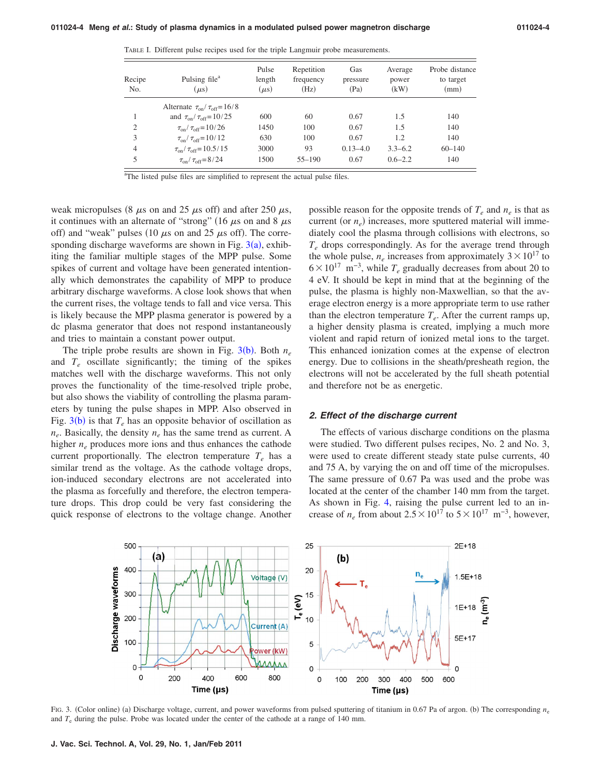| Recipe<br>No.  | Pulsing file <sup>a</sup><br>$\mu$ s)          | Pulse<br>length<br>$(\mu s)$ | Repetition<br>frequency<br>(Hz) | Gas<br>pressure<br>(Pa) | Average<br>power<br>(kW) | Probe distance<br>to target<br>(mm) |
|----------------|------------------------------------------------|------------------------------|---------------------------------|-------------------------|--------------------------|-------------------------------------|
|                | Alternate $\tau_{on}/\tau_{off} = 16/8$        |                              |                                 |                         |                          |                                     |
|                | and $\tau_{\rm on}/\tau_{\rm off} = 10/25$     | 600                          | 60                              | 0.67                    | 1.5                      | 140                                 |
| $\overline{2}$ | $\tau_{\rm on}/\tau_{\rm off} = 10/26$         | 1450                         | 100                             | 0.67                    | 1.5                      | 140                                 |
| 3              | $\tau_{\rm on}/\tau_{\rm off} = 10/12$         | 630                          | 100                             | 0.67                    | 1.2                      | 140                                 |
| $\overline{4}$ | $\tau_{\text{on}}/\tau_{\text{off}} = 10.5/15$ | 3000                         | 93                              | $0.13 - 4.0$            | $3.3 - 6.2$              | $60 - 140$                          |
| 5              | $\tau_{\rm on}/\tau_{\rm off} = 8/24$          | 1500                         | $55 - 190$                      | 0.67                    | $0.6 - 2.2$              | 140                                 |

<span id="page-3-0"></span>TABLE I. Different pulse recipes used for the triple Langmuir probe measurements.

<sup>a</sup>The listed pulse files are simplified to represent the actual pulse files.

weak micropulses (8  $\mu$ s on and 25  $\mu$ s off) and after 250  $\mu$ s, it continues with an alternate of "strong" (16  $\mu$ s on and 8  $\mu$ s off) and "weak" pulses (10  $\mu$ s on and 25  $\mu$ s off). The corresponding discharge waveforms are shown in Fig.  $3(a)$  $3(a)$ , exhibiting the familiar multiple stages of the MPP pulse. Some spikes of current and voltage have been generated intentionally which demonstrates the capability of MPP to produce arbitrary discharge waveforms. A close look shows that when the current rises, the voltage tends to fall and vice versa. This is likely because the MPP plasma generator is powered by a dc plasma generator that does not respond instantaneously and tries to maintain a constant power output.

The triple pro[b](#page-3-1)e results are shown in Fig.  $3(b)$ . Both  $n_e$ and  $T_e$  oscillate significantly; the timing of the spikes matches well with the discharge waveforms. This not only proves the functionality of the time-resolved triple probe, but also shows the viability of controlling the plasma parameters by tuning the pulse shapes in MPP. Also observed in Fig.  $3(b)$  $3(b)$  is that  $T_e$  has an opposite behavior of oscillation as  $n_e$ . Basically, the density  $n_e$  has the same trend as current. A higher  $n_e$  produces more ions and thus enhances the cathode current proportionally. The electron temperature  $T_e$  has a similar trend as the voltage. As the cathode voltage drops, ion-induced secondary electrons are not accelerated into the plasma as forcefully and therefore, the electron temperature drops. This drop could be very fast considering the quick response of electrons to the voltage change. Another possible reason for the opposite trends of  $T_e$  and  $n_e$  is that as current (or  $n_e$ ) increases, more sputtered material will immediately cool the plasma through collisions with electrons, so  $T_e$  drops correspondingly. As for the average trend through the whole pulse,  $n_e$  increases from approximately  $3 \times 10^{17}$  to  $6 \times 10^{17}$  m<sup>-3</sup>, while  $T_e$  gradually decreases from about 20 to 4 eV. It should be kept in mind that at the beginning of the pulse, the plasma is highly non-Maxwellian, so that the average electron energy is a more appropriate term to use rather than the electron temperature  $T_e$ . After the current ramps up, a higher density plasma is created, implying a much more violent and rapid return of ionized metal ions to the target. This enhanced ionization comes at the expense of electron energy. Due to collisions in the sheath/presheath region, the electrons will not be accelerated by the full sheath potential and therefore not be as energetic.

#### *2. Effect of the discharge current*

The effects of various discharge conditions on the plasma were studied. Two different pulses recipes, No. 2 and No. 3, were used to create different steady state pulse currents, 40 and 75 A, by varying the on and off time of the micropulses. The same pressure of 0.67 Pa was used and the probe was located at the center of the chamber 140 mm from the target. As shown in Fig. [4,](#page-4-0) raising the pulse current led to an increase of  $n_e$  from about 2.5 × 10<sup>17</sup> to 5 × 10<sup>17</sup> m<sup>-3</sup>, however,

<span id="page-3-1"></span>

FIG. 3. (Color online) (a) Discharge voltage, current, and power waveforms from pulsed sputtering of titanium in 0.67 Pa of argon. (b) The corresponding  $n_e$ and  $T<sub>e</sub>$  during the pulse. Probe was located under the center of the cathode at a range of 140 mm.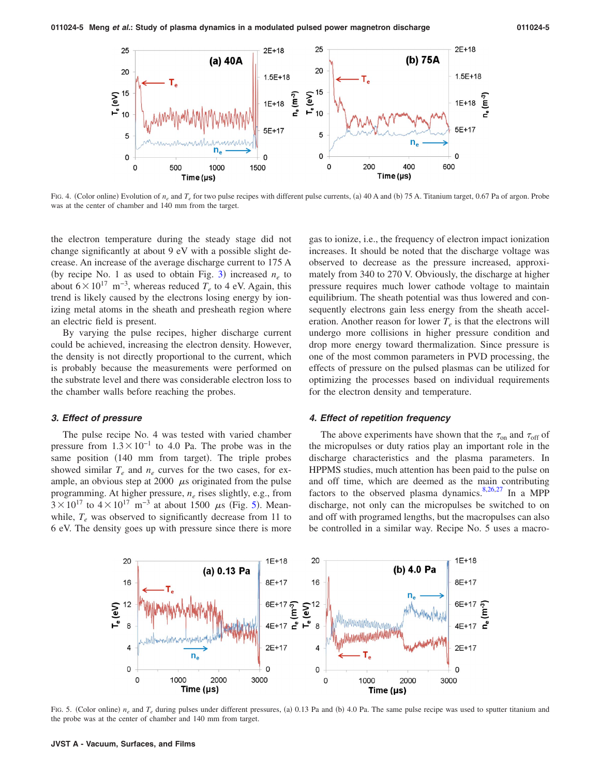<span id="page-4-0"></span>

FIG. 4. (Color online) Evolution of  $n_e$  and  $T_e$  for two pulse recipes with different pulse currents, (a) 40 A and (b) 75 A. Titanium target, 0.67 Pa of argon. Probe was at the center of chamber and 140 mm from the target.

the electron temperature during the steady stage did not change significantly at about 9 eV with a possible slight decrease. An increase of the average discharge current to 175 A (by recipe No. 1 as used to obtain Fig. [3](#page-3-1)) increased  $n_e$  to about  $6\times10^{17}$  m<sup>-3</sup>, whereas reduced  $T_e$  to 4 eV. Again, this trend is likely caused by the electrons losing energy by ionizing metal atoms in the sheath and presheath region where an electric field is present.

By varying the pulse recipes, higher discharge current could be achieved, increasing the electron density. However, the density is not directly proportional to the current, which is probably because the measurements were performed on the substrate level and there was considerable electron loss to the chamber walls before reaching the probes.

#### *3. Effect of pressure*

The pulse recipe No. 4 was tested with varied chamber pressure from  $1.3 \times 10^{-1}$  to 4.0 Pa. The probe was in the same position (140 mm from target). The triple probes showed similar  $T_e$  and  $n_e$  curves for the two cases, for example, an obvious step at 2000  $\mu$ s originated from the pulse programming. At higher pressure, *ne* rises slightly, e.g., from  $3 \times 10^{17}$  to  $4 \times 10^{17}$  m<sup>-3</sup> at about 1[5](#page-4-1)00  $\mu$ s (Fig. 5). Meanwhile,  $T_e$  was observed to significantly decrease from 11 to 6 eV. The density goes up with pressure since there is more

gas to ionize, i.e., the frequency of electron impact ionization increases. It should be noted that the discharge voltage was observed to decrease as the pressure increased, approximately from 340 to 270 V. Obviously, the discharge at higher pressure requires much lower cathode voltage to maintain equilibrium. The sheath potential was thus lowered and consequently electrons gain less energy from the sheath acceleration. Another reason for lower  $T_e$  is that the electrons will undergo more collisions in higher pressure condition and drop more energy toward thermalization. Since pressure is one of the most common parameters in PVD processing, the effects of pressure on the pulsed plasmas can be utilized for optimizing the processes based on individual requirements for the electron density and temperature.

#### *4. Effect of repetition frequency*

The above experiments have shown that the  $\tau_{on}$  and  $\tau_{off}$  of the micropulses or duty ratios play an important role in the discharge characteristics and the plasma parameters. In HPPMS studies, much attention has been paid to the pulse on and off time, which are deemed as the main contributing factors to the observed plasma dynamics. $8,26,27$  $8,26,27$  $8,26,27$  In a MPP discharge, not only can the micropulses be switched to on and off with programed lengths, but the macropulses can also be controlled in a similar way. Recipe No. 5 uses a macro-

<span id="page-4-1"></span>

FIG. 5. (Color online)  $n_e$  and  $T_e$  during pulses under different pressures, (a) 0.13 Pa and (b) 4.0 Pa. The same pulse recipe was used to sputter titanium and the probe was at the center of chamber and 140 mm from target.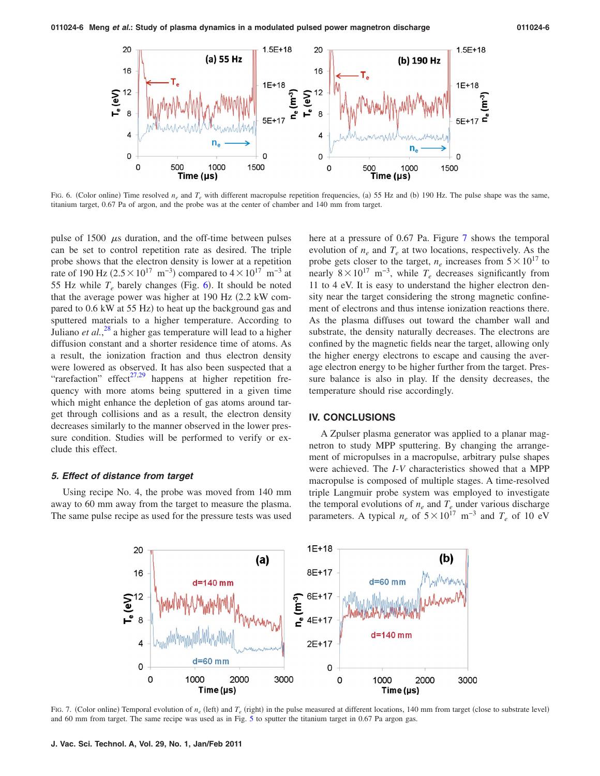<span id="page-5-0"></span>

FIG. 6. (Color online) Time resolved  $n_e$  and  $T_e$  with different macropulse repetition frequencies, (a) 55 Hz and (b) 190 Hz. The pulse shape was the same, titanium target, 0.67 Pa of argon, and the probe was at the center of chamber and 140 mm from target.

pulse of  $1500 \mu s$  duration, and the off-time between pulses can be set to control repetition rate as desired. The triple probe shows that the electron density is lower at a repetition rate of 190 Hz ( $2.5 \times 10^{17}$  m<sup>-3</sup>) compared to  $4 \times 10^{17}$  m<sup>-3</sup> at 55 Hz while  $T_e$  barely changes (Fig. [6](#page-5-0)). It should be noted that the average power was higher at  $190$  Hz  $(2.2$  kW compared to 0.6 kW at 55 Hz) to heat up the background gas and sputtered materials to a higher temperature. According to Juliano *et al.*,<sup>[28](#page-6-25)</sup> a higher gas temperature will lead to a higher diffusion constant and a shorter residence time of atoms. As a result, the ionization fraction and thus electron density were lowered as observed. It has also been suspected that a "rarefaction" effect<sup>27,[29](#page-6-26)</sup> happens at higher repetition frequency with more atoms being sputtered in a given time which might enhance the depletion of gas atoms around target through collisions and as a result, the electron density decreases similarly to the manner observed in the lower pressure condition. Studies will be performed to verify or exclude this effect.

## *5. Effect of distance from target*

<span id="page-5-1"></span>Using recipe No. 4, the probe was moved from 140 mm away to 60 mm away from the target to measure the plasma. The same pulse recipe as used for the pressure tests was used here at a pressure of 0.67 Pa. Figure [7](#page-5-1) shows the temporal evolution of  $n_e$  and  $T_e$  at two locations, respectively. As the probe gets closer to the target,  $n_e$  increases from  $5 \times 10^{17}$  to nearly  $8 \times 10^{17}$  m<sup>-3</sup>, while  $T_e$  decreases significantly from 11 to 4 eV. It is easy to understand the higher electron density near the target considering the strong magnetic confinement of electrons and thus intense ionization reactions there. As the plasma diffuses out toward the chamber wall and substrate, the density naturally decreases. The electrons are confined by the magnetic fields near the target, allowing only the higher energy electrons to escape and causing the average electron energy to be higher further from the target. Pressure balance is also in play. If the density decreases, the temperature should rise accordingly.

## **IV. CONCLUSIONS**

A Zpulser plasma generator was applied to a planar magnetron to study MPP sputtering. By changing the arrangement of micropulses in a macropulse, arbitrary pulse shapes were achieved. The *I*-*V* characteristics showed that a MPP macropulse is composed of multiple stages. A time-resolved triple Langmuir probe system was employed to investigate the temporal evolutions of  $n_e$  and  $T_e$  under various discharge parameters. A typical  $n_e$  of  $5 \times 10^{17}$  m<sup>-3</sup> and  $T_e$  of 10 eV



FIG. 7. (Color online) Temporal evolution of  $n_e$  (left) and  $T_e$  (right) in the pulse measured at different locations, 140 mm from target (close to substrate level) and 60 mm from target. The same recipe was used as in Fig. [5](#page-4-1) to sputter the titanium target in 0.67 Pa argon gas.